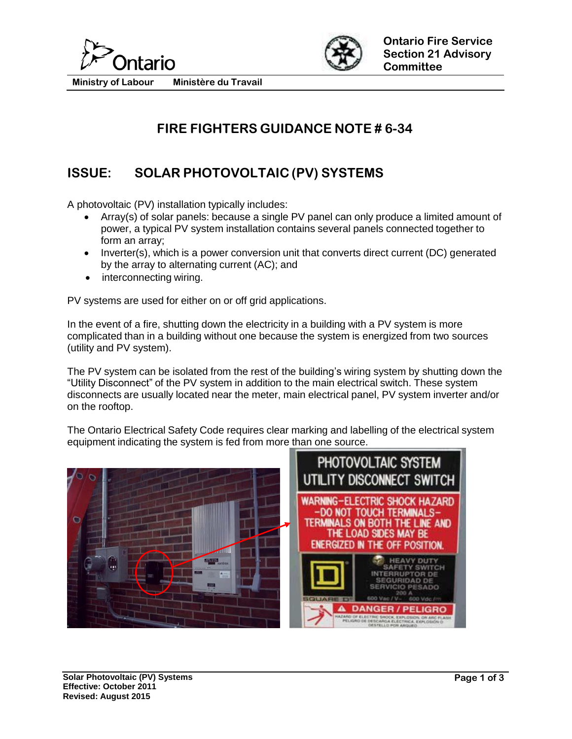



**Ministry of Labour Ministère du Travail**

# **FIRE FIGHTERS GUIDANCE NOTE # 6-34**

## **ISSUE: SOLAR PHOTOVOLTAIC (PV) SYSTEMS**

A photovoltaic (PV) installation typically includes:

- Array(s) of solar panels: because a single PV panel can only produce a limited amount of power, a typical PV system installation contains several panels connected together to form an array;
- Inverter(s), which is a power conversion unit that converts direct current (DC) generated by the array to alternating current (AC); and
- interconnecting wiring.

PV systems are used for either on or off grid applications.

In the event of a fire, shutting down the electricity in a building with a PV system is more complicated than in a building without one because the system is energized from two sources (utility and PV system).

The PV system can be isolated from the rest of the building's wiring system by shutting down the "Utility Disconnect" of the PV system in addition to the main electrical switch. These system disconnects are usually located near the meter, main electrical panel, PV system inverter and/or on the rooftop.

The Ontario Electrical Safety Code requires clear marking and labelling of the electrical system equipment indicating the system is fed from more than one source.

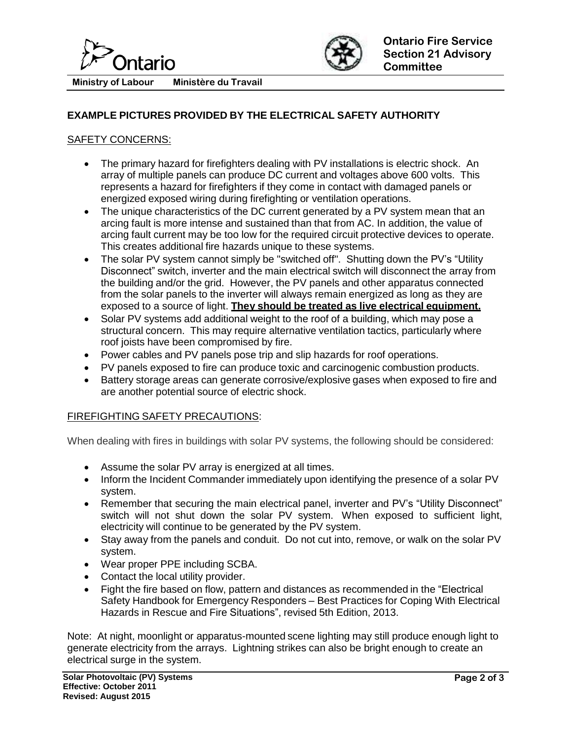



**Ministry of Labour Ministère du Travail**

### **EXAMPLE PICTURES PROVIDED BY THE ELECTRICAL SAFETY AUTHORITY**

### SAFETY CONCERNS:

- The primary hazard for firefighters dealing with PV installations is electric shock. An array of multiple panels can produce DC current and voltages above 600 volts. This represents a hazard for firefighters if they come in contact with damaged panels or energized exposed wiring during firefighting or ventilation operations.
- The unique characteristics of the DC current generated by a PV system mean that an arcing fault is more intense and sustained than that from AC. In addition, the value of arcing fault current may be too low for the required circuit protective devices to operate. This creates additional fire hazards unique to these systems.
- The solar PV system cannot simply be "switched off". Shutting down the PV's "Utility Disconnect" switch, inverter and the main electrical switch will disconnect the array from the building and/or the grid. However, the PV panels and other apparatus connected from the solar panels to the inverter will always remain energized as long as they are exposed to a source of light. **They should be treated as live electrical equipment.**
- Solar PV systems add additional weight to the roof of a building, which may pose a structural concern. This may require alternative ventilation tactics, particularly where roof joists have been compromised by fire.
- Power cables and PV panels pose trip and slip hazards for roof operations.
- PV panels exposed to fire can produce toxic and carcinogenic combustion products.
- Battery storage areas can generate corrosive/explosive gases when exposed to fire and are another potential source of electric shock.

#### FIREFIGHTING SAFETY PRECAUTIONS:

When dealing with fires in buildings with solar PV systems, the following should be considered:

- Assume the solar PV array is energized at all times.
- Inform the Incident Commander immediately upon identifying the presence of a solar PV system.
- Remember that securing the main electrical panel, inverter and PV's "Utility Disconnect" switch will not shut down the solar PV system. When exposed to sufficient light, electricity will continue to be generated by the PV system.
- Stay away from the panels and conduit. Do not cut into, remove, or walk on the solar PV system.
- Wear proper PPE including SCBA.
- Contact the local utility provider.
- Fight the fire based on flow, pattern and distances as recommended in the "Electrical Safety Handbook for Emergency Responders – Best Practices for Coping With Electrical Hazards in Rescue and Fire Situations", revised 5th Edition, 2013.

Note: At night, moonlight or apparatus-mounted scene lighting may still produce enough light to generate electricity from the arrays. Lightning strikes can also be bright enough to create an electrical surge in the system.